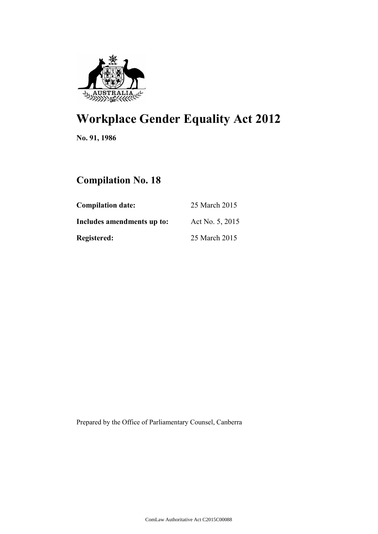

# **Workplace Gender Equality Act 2012**

**No. 91, 1986**

# **Compilation No. 18**

| <b>Compilation date:</b>   | 25 March 2015   |  |
|----------------------------|-----------------|--|
| Includes amendments up to: | Act No. 5, 2015 |  |
| <b>Registered:</b>         | 25 March 2015   |  |

Prepared by the Office of Parliamentary Counsel, Canberra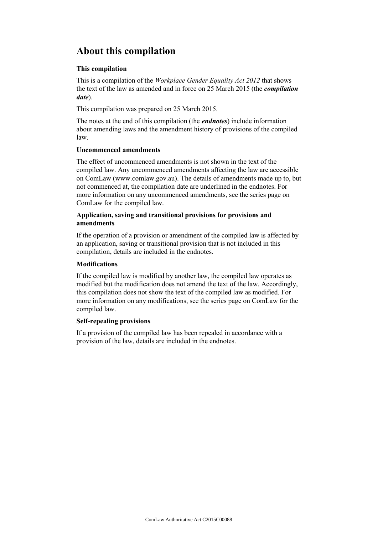# **About this compilation**

### **This compilation**

This is a compilation of the *Workplace Gender Equality Act 2012* that shows the text of the law as amended and in force on 25 March 2015 (the *compilation date*).

This compilation was prepared on 25 March 2015.

The notes at the end of this compilation (the *endnotes*) include information about amending laws and the amendment history of provisions of the compiled law.

# **Uncommenced amendments**

The effect of uncommenced amendments is not shown in the text of the compiled law. Any uncommenced amendments affecting the law are accessible on ComLaw (www.comlaw.gov.au). The details of amendments made up to, but not commenced at, the compilation date are underlined in the endnotes. For more information on any uncommenced amendments, see the series page on ComLaw for the compiled law.

# **Application, saving and transitional provisions for provisions and amendments**

If the operation of a provision or amendment of the compiled law is affected by an application, saving or transitional provision that is not included in this compilation, details are included in the endnotes.

### **Modifications**

If the compiled law is modified by another law, the compiled law operates as modified but the modification does not amend the text of the law. Accordingly, this compilation does not show the text of the compiled law as modified. For more information on any modifications, see the series page on ComLaw for the compiled law.

# **Self-repealing provisions**

If a provision of the compiled law has been repealed in accordance with a provision of the law, details are included in the endnotes.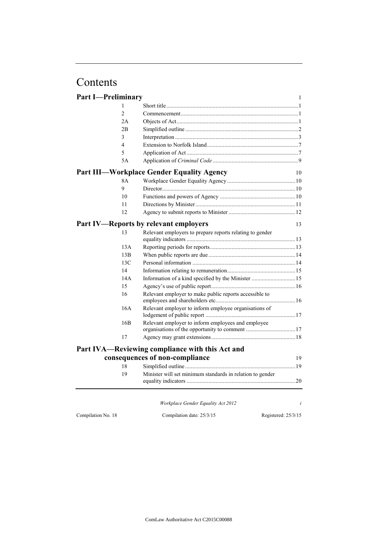# Contents

| <b>Part I-Preliminary</b> |                                                           | $\mathbf{1}$        |
|---------------------------|-----------------------------------------------------------|---------------------|
| 1                         |                                                           |                     |
| $\overline{c}$            |                                                           |                     |
| 2A                        |                                                           |                     |
| 2B                        |                                                           |                     |
| 3                         |                                                           |                     |
| 4                         |                                                           |                     |
| 5                         |                                                           |                     |
| 5A                        |                                                           |                     |
|                           | <b>Part III—Workplace Gender Equality Agency</b>          | 10                  |
| 8A                        |                                                           |                     |
| 9                         |                                                           |                     |
| 10                        |                                                           |                     |
| 11                        |                                                           |                     |
| 12                        |                                                           |                     |
|                           | <b>Part IV—Reports by relevant employers</b>              | 13                  |
| 13                        | Relevant employers to prepare reports relating to gender  |                     |
|                           |                                                           |                     |
| 13A                       |                                                           |                     |
| 13B                       |                                                           |                     |
| 13C                       |                                                           |                     |
| 14                        |                                                           |                     |
| 14A                       | Information of a kind specified by the Minister  15       |                     |
| 15                        |                                                           |                     |
| 16                        | Relevant employer to make public reports accessible to    |                     |
| 16A                       | Relevant employer to inform employee organisations of     |                     |
|                           |                                                           |                     |
| 16B                       | Relevant employer to inform employees and employee        |                     |
|                           |                                                           |                     |
| 17                        |                                                           |                     |
|                           | Part IVA—Reviewing compliance with this Act and           |                     |
|                           | consequences of non-compliance                            | 19                  |
| 18                        |                                                           |                     |
| 19                        | Minister will set minimum standards in relation to gender |                     |
|                           |                                                           |                     |
|                           | Workplace Gender Equality Act 2012                        | i                   |
| Compilation No. 18        | Compilation date: 25/3/15                                 | Registered: 25/3/15 |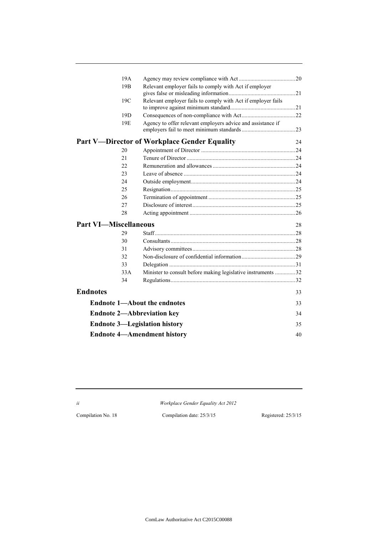|                              | 19A             |                                                              |    |
|------------------------------|-----------------|--------------------------------------------------------------|----|
|                              | 19 <sub>B</sub> | Relevant employer fails to comply with Act if employer       |    |
|                              | 19C             | Relevant employer fails to comply with Act if employer fails |    |
|                              | 19D             |                                                              |    |
|                              | 19 <sub>E</sub> | Agency to offer relevant employers advice and assistance if  |    |
|                              |                 | <b>Part V-Director of Workplace Gender Equality</b>          | 24 |
|                              | 20              |                                                              |    |
|                              | 21              |                                                              |    |
|                              | 22.             |                                                              |    |
|                              | 23              |                                                              |    |
|                              | 24              |                                                              |    |
|                              | 25              |                                                              |    |
|                              | 26              |                                                              |    |
|                              | 27              |                                                              |    |
|                              | 28              |                                                              |    |
| <b>Part VI-Miscellaneous</b> |                 |                                                              | 28 |
|                              | 29              | $Staff$ 28                                                   |    |
|                              | 30              |                                                              |    |
|                              | 31              |                                                              |    |
|                              | 32              |                                                              |    |
|                              | 33              |                                                              |    |
|                              | 33A             | Minister to consult before making legislative instruments 32 |    |
|                              | 34              |                                                              |    |
| <b>Endnotes</b>              |                 |                                                              | 33 |
|                              |                 | <b>Endnote 1-About the endnotes</b>                          | 33 |
|                              |                 | <b>Endnote 2-Abbreviation key</b>                            | 34 |
|                              |                 | <b>Endnote 3—Legislation history</b>                         | 35 |
|                              |                 | <b>Endnote 4-Amendment history</b>                           | 40 |

*ii Workplace Gender Equality Act 2012*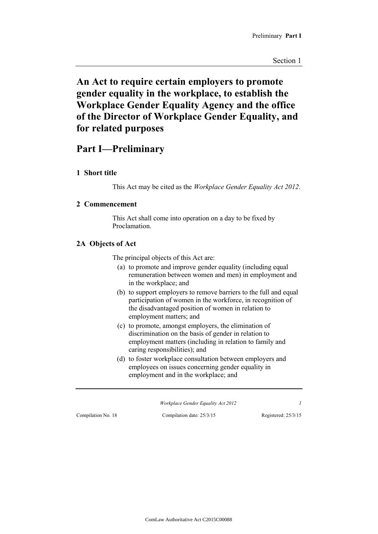# **An Act to require certain employers to promote gender equality in the workplace, to establish the Workplace Gender Equality Agency and the office of the Director of Workplace Gender Equality, and for related purposes**

# **Part I—Preliminary**

# **1 Short title**

This Act may be cited as the *Workplace Gender Equality Act 2012*.

# **2 Commencement**

This Act shall come into operation on a day to be fixed by Proclamation.

# **2A Objects of Act**

The principal objects of this Act are:

- (a) to promote and improve gender equality (including equal remuneration between women and men) in employment and in the workplace; and
- (b) to support employers to remove barriers to the full and equal participation of women in the workforce, in recognition of the disadvantaged position of women in relation to employment matters; and
- (c) to promote, amongst employers, the elimination of discrimination on the basis of gender in relation to employment matters (including in relation to family and caring responsibilities); and
- (d) to foster workplace consultation between employers and employees on issues concerning gender equality in employment and in the workplace; and

*Workplace Gender Equality Act 2012 1*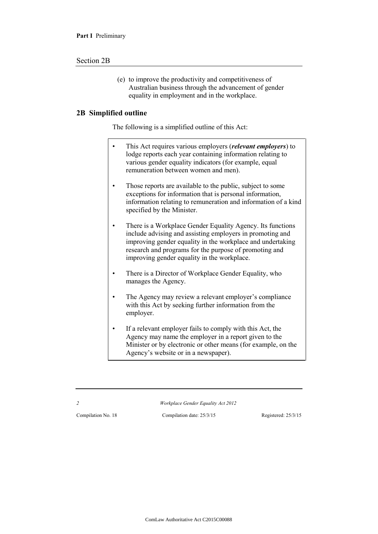#### Section 2B

(e) to improve the productivity and competitiveness of Australian business through the advancement of gender equality in employment and in the workplace.

#### **2B Simplified outline**

The following is a simplified outline of this Act:

- This Act requires various employers (*relevant employers*) to lodge reports each year containing information relating to various gender equality indicators (for example, equal remuneration between women and men).
- Those reports are available to the public, subject to some exceptions for information that is personal information, information relating to remuneration and information of a kind specified by the Minister.
- There is a Workplace Gender Equality Agency. Its functions include advising and assisting employers in promoting and improving gender equality in the workplace and undertaking research and programs for the purpose of promoting and improving gender equality in the workplace.
- There is a Director of Workplace Gender Equality, who manages the Agency.
- The Agency may review a relevant employer's compliance with this Act by seeking further information from the employer.
- If a relevant employer fails to comply with this Act, the Agency may name the employer in a report given to the Minister or by electronic or other means (for example, on the Agency's website or in a newspaper).

*2 Workplace Gender Equality Act 2012*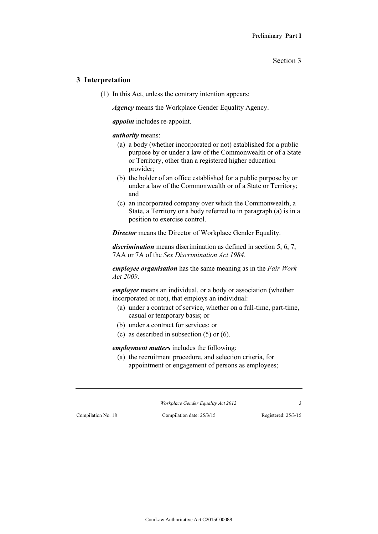### **3 Interpretation**

(1) In this Act, unless the contrary intention appears:

*Agency* means the Workplace Gender Equality Agency.

*appoint* includes re-appoint.

#### *authority* means:

- (a) a body (whether incorporated or not) established for a public purpose by or under a law of the Commonwealth or of a State or Territory, other than a registered higher education provider;
- (b) the holder of an office established for a public purpose by or under a law of the Commonwealth or of a State or Territory; and
- (c) an incorporated company over which the Commonwealth, a State, a Territory or a body referred to in paragraph (a) is in a position to exercise control.

*Director* means the Director of Workplace Gender Equality.

*discrimination* means discrimination as defined in section 5, 6, 7, 7AA or 7A of the *Sex Discrimination Act 1984*.

*employee organisation* has the same meaning as in the *Fair Work Act 2009*.

*employer* means an individual, or a body or association (whether incorporated or not), that employs an individual:

- (a) under a contract of service, whether on a full-time, part-time, casual or temporary basis; or
- (b) under a contract for services; or
- (c) as described in subsection (5) or (6).

*employment matters* includes the following:

(a) the recruitment procedure, and selection criteria, for appointment or engagement of persons as employees;

*Workplace Gender Equality Act 2012 3*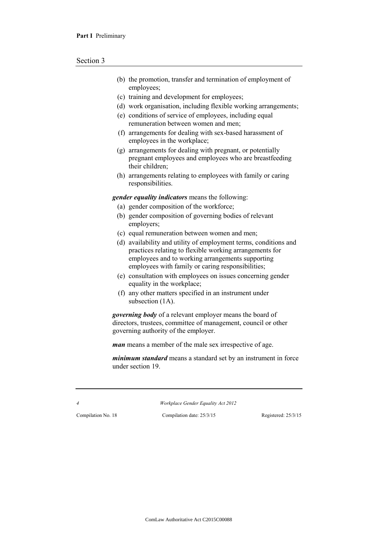- (b) the promotion, transfer and termination of employment of employees;
- (c) training and development for employees;
- (d) work organisation, including flexible working arrangements;
- (e) conditions of service of employees, including equal remuneration between women and men;
- (f) arrangements for dealing with sex-based harassment of employees in the workplace;
- (g) arrangements for dealing with pregnant, or potentially pregnant employees and employees who are breastfeeding their children;
- (h) arrangements relating to employees with family or caring responsibilities.

*gender equality indicators* means the following:

- (a) gender composition of the workforce;
- (b) gender composition of governing bodies of relevant employers;
- (c) equal remuneration between women and men;
- (d) availability and utility of employment terms, conditions and practices relating to flexible working arrangements for employees and to working arrangements supporting employees with family or caring responsibilities;
- (e) consultation with employees on issues concerning gender equality in the workplace;
- (f) any other matters specified in an instrument under subsection  $(1A)$ .

*governing body* of a relevant employer means the board of directors, trustees, committee of management, council or other governing authority of the employer.

*man* means a member of the male sex irrespective of age.

*minimum standard* means a standard set by an instrument in force under section 19.

*4 Workplace Gender Equality Act 2012*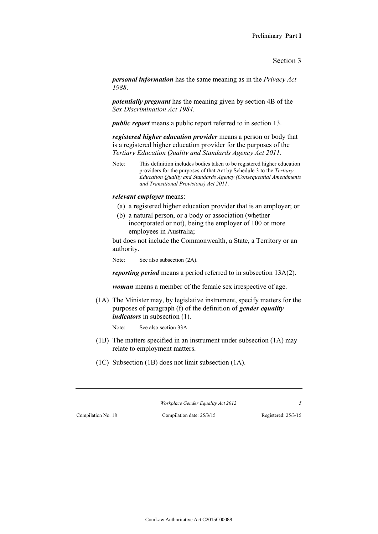*personal information* has the same meaning as in the *Privacy Act 1988*.

*potentially pregnant* has the meaning given by section 4B of the *Sex Discrimination Act 1984*.

*public report* means a public report referred to in section 13.

*registered higher education provider* means a person or body that is a registered higher education provider for the purposes of the *Tertiary Education Quality and Standards Agency Act 2011*.

Note: This definition includes bodies taken to be registered higher education providers for the purposes of that Act by Schedule 3 to the *Tertiary Education Quality and Standards Agency (Consequential Amendments and Transitional Provisions) Act 2011*.

#### *relevant employer* means:

- (a) a registered higher education provider that is an employer; or
- (b) a natural person, or a body or association (whether incorporated or not), being the employer of 100 or more employees in Australia;

but does not include the Commonwealth, a State, a Territory or an authority.

Note: See also subsection (2A).

*reporting period* means a period referred to in subsection 13A(2).

*woman* means a member of the female sex irrespective of age.

(1A) The Minister may, by legislative instrument, specify matters for the purposes of paragraph (f) of the definition of *gender equality indicators* in subsection (1).

Note: See also section 33A.

- (1B) The matters specified in an instrument under subsection (1A) may relate to employment matters.
- (1C) Subsection (1B) does not limit subsection (1A).

*Workplace Gender Equality Act 2012 5*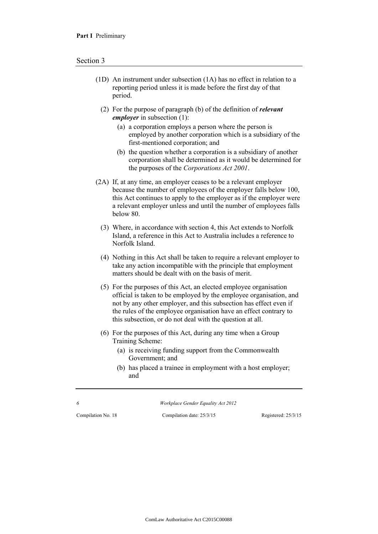- (1D) An instrument under subsection (1A) has no effect in relation to a reporting period unless it is made before the first day of that period.
	- (2) For the purpose of paragraph (b) of the definition of *relevant employer* in subsection (1):
		- (a) a corporation employs a person where the person is employed by another corporation which is a subsidiary of the first-mentioned corporation; and
		- (b) the question whether a corporation is a subsidiary of another corporation shall be determined as it would be determined for the purposes of the *Corporations Act 2001*.
- (2A) If, at any time, an employer ceases to be a relevant employer because the number of employees of the employer falls below 100, this Act continues to apply to the employer as if the employer were a relevant employer unless and until the number of employees falls below 80.
	- (3) Where, in accordance with section 4, this Act extends to Norfolk Island, a reference in this Act to Australia includes a reference to Norfolk Island.
	- (4) Nothing in this Act shall be taken to require a relevant employer to take any action incompatible with the principle that employment matters should be dealt with on the basis of merit.
	- (5) For the purposes of this Act, an elected employee organisation official is taken to be employed by the employee organisation, and not by any other employer, and this subsection has effect even if the rules of the employee organisation have an effect contrary to this subsection, or do not deal with the question at all.
	- (6) For the purposes of this Act, during any time when a Group Training Scheme:
		- (a) is receiving funding support from the Commonwealth Government; and
		- (b) has placed a trainee in employment with a host employer; and

*6 Workplace Gender Equality Act 2012*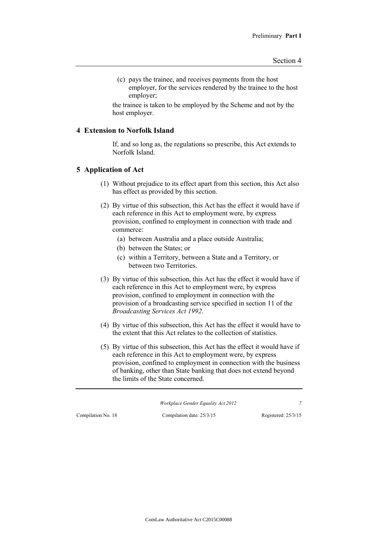(c) pays the trainee, and receives payments from the host employer, for the services rendered by the trainee to the host employer;

the trainee is taken to be employed by the Scheme and not by the host employer.

#### **4 Extension to Norfolk Island**

If, and so long as, the regulations so prescribe, this Act extends to Norfolk Island.

#### **5 Application of Act**

- (1) Without prejudice to its effect apart from this section, this Act also has effect as provided by this section.
- (2) By virtue of this subsection, this Act has the effect it would have if each reference in this Act to employment were, by express provision, confined to employment in connection with trade and commerce:
	- (a) between Australia and a place outside Australia;
	- (b) between the States; or
	- (c) within a Territory, between a State and a Territory, or between two Territories.
- (3) By virtue of this subsection, this Act has the effect it would have if each reference in this Act to employment were, by express provision, confined to employment in connection with the provision of a broadcasting service specified in section 11 of the *Broadcasting Services Act 1992*.
- (4) By virtue of this subsection, this Act has the effect it would have to the extent that this Act relates to the collection of statistics.
- (5) By virtue of this subsection, this Act has the effect it would have if each reference in this Act to employment were, by express provision, confined to employment in connection with the business of banking, other than State banking that does not extend beyond the limits of the State concerned.

*Workplace Gender Equality Act 2012 7*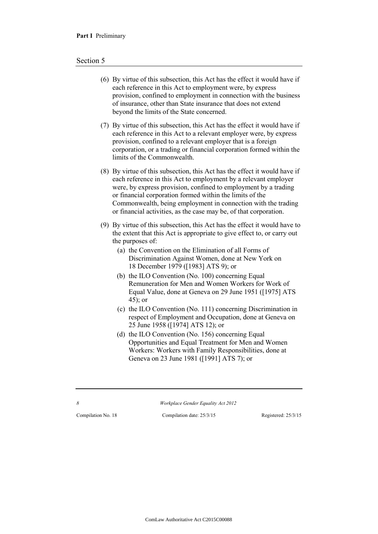#### Section 5

- (6) By virtue of this subsection, this Act has the effect it would have if each reference in this Act to employment were, by express provision, confined to employment in connection with the business of insurance, other than State insurance that does not extend beyond the limits of the State concerned.
- (7) By virtue of this subsection, this Act has the effect it would have if each reference in this Act to a relevant employer were, by express provision, confined to a relevant employer that is a foreign corporation, or a trading or financial corporation formed within the limits of the Commonwealth.
- (8) By virtue of this subsection, this Act has the effect it would have if each reference in this Act to employment by a relevant employer were, by express provision, confined to employment by a trading or financial corporation formed within the limits of the Commonwealth, being employment in connection with the trading or financial activities, as the case may be, of that corporation.
- (9) By virtue of this subsection, this Act has the effect it would have to the extent that this Act is appropriate to give effect to, or carry out the purposes of:
	- (a) the Convention on the Elimination of all Forms of Discrimination Against Women, done at New York on 18 December 1979 ([1983] ATS 9); or
	- (b) the ILO Convention (No. 100) concerning Equal Remuneration for Men and Women Workers for Work of Equal Value, done at Geneva on 29 June 1951 ([1975] ATS 45); or
	- (c) the ILO Convention (No. 111) concerning Discrimination in respect of Employment and Occupation, done at Geneva on 25 June 1958 ([1974] ATS 12); or
	- (d) the ILO Convention (No. 156) concerning Equal Opportunities and Equal Treatment for Men and Women Workers: Workers with Family Responsibilities, done at Geneva on 23 June 1981 ([1991] ATS 7); or

*8 Workplace Gender Equality Act 2012*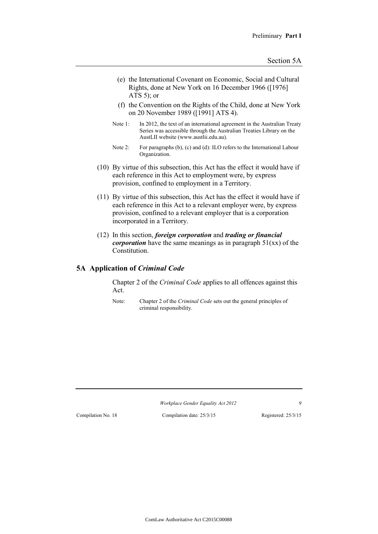- (e) the International Covenant on Economic, Social and Cultural Rights, done at New York on 16 December 1966 ([1976] ATS 5); or
- (f) the Convention on the Rights of the Child, done at New York on 20 November 1989 ([1991] ATS 4).
- Note 1: In 2012, the text of an international agreement in the Australian Treaty Series was accessible through the Australian Treaties Library on the AustLII website (www.austlii.edu.au).
- Note 2: For paragraphs (b), (c) and (d): ILO refers to the International Labour Organization.
- (10) By virtue of this subsection, this Act has the effect it would have if each reference in this Act to employment were, by express provision, confined to employment in a Territory.
- (11) By virtue of this subsection, this Act has the effect it would have if each reference in this Act to a relevant employer were, by express provision, confined to a relevant employer that is a corporation incorporated in a Territory.
- (12) In this section, *foreign corporation* and *trading or financial corporation* have the same meanings as in paragraph 51(xx) of the Constitution.

### **5A Application of** *Criminal Code*

Chapter 2 of the *Criminal Code* applies to all offences against this Act.

Note: Chapter 2 of the *Criminal Code* sets out the general principles of criminal responsibility.

*Workplace Gender Equality Act 2012 9*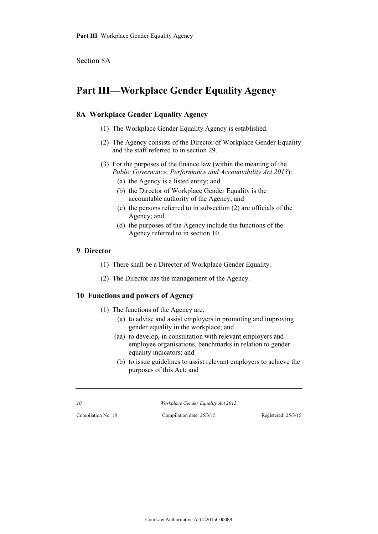# **Part III—Workplace Gender Equality Agency**

# **8A Workplace Gender Equality Agency**

- (1) The Workplace Gender Equality Agency is established.
- (2) The Agency consists of the Director of Workplace Gender Equality and the staff referred to in section 29.
- (3) For the purposes of the finance law (within the meaning of the *Public Governance, Performance and Accountability Act 2013*):
	- (a) the Agency is a listed entity; and
	- (b) the Director of Workplace Gender Equality is the accountable authority of the Agency; and
	- (c) the persons referred to in subsection (2) are officials of the Agency; and
	- (d) the purposes of the Agency include the functions of the Agency referred to in section 10.

### **9 Director**

- (1) There shall be a Director of Workplace Gender Equality.
- (2) The Director has the management of the Agency.

### **10 Functions and powers of Agency**

- (1) The functions of the Agency are:
	- (a) to advise and assist employers in promoting and improving gender equality in the workplace; and
	- (aa) to develop, in consultation with relevant employers and employee organisations, benchmarks in relation to gender equality indicators; and
	- (b) to issue guidelines to assist relevant employers to achieve the purposes of this Act; and

*10 Workplace Gender Equality Act 2012*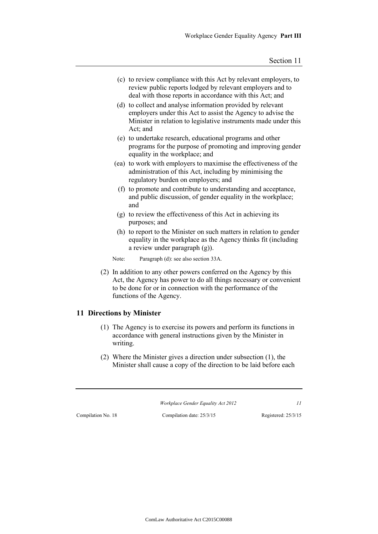- (c) to review compliance with this Act by relevant employers, to review public reports lodged by relevant employers and to deal with those reports in accordance with this Act; and
- (d) to collect and analyse information provided by relevant employers under this Act to assist the Agency to advise the Minister in relation to legislative instruments made under this Act; and
- (e) to undertake research, educational programs and other programs for the purpose of promoting and improving gender equality in the workplace; and
- (ea) to work with employers to maximise the effectiveness of the administration of this Act, including by minimising the regulatory burden on employers; and
- (f) to promote and contribute to understanding and acceptance, and public discussion, of gender equality in the workplace; and
- (g) to review the effectiveness of this Act in achieving its purposes; and
- (h) to report to the Minister on such matters in relation to gender equality in the workplace as the Agency thinks fit (including a review under paragraph (g)).

Note: Paragraph (d): see also section 33A.

(2) In addition to any other powers conferred on the Agency by this Act, the Agency has power to do all things necessary or convenient to be done for or in connection with the performance of the functions of the Agency.

### **11 Directions by Minister**

- (1) The Agency is to exercise its powers and perform its functions in accordance with general instructions given by the Minister in writing.
- (2) Where the Minister gives a direction under subsection (1), the Minister shall cause a copy of the direction to be laid before each

*Workplace Gender Equality Act 2012 11*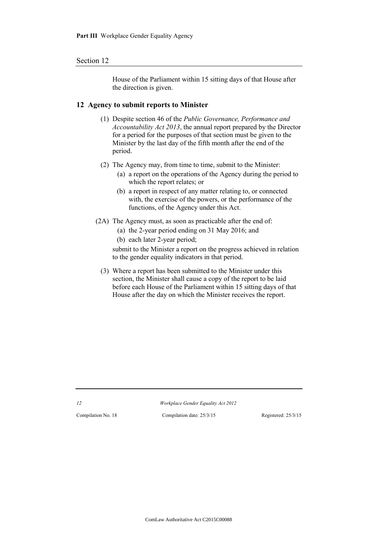#### Section 12

House of the Parliament within 15 sitting days of that House after the direction is given.

#### **12 Agency to submit reports to Minister**

- (1) Despite section 46 of the *Public Governance, Performance and Accountability Act 2013*, the annual report prepared by the Director for a period for the purposes of that section must be given to the Minister by the last day of the fifth month after the end of the period.
- (2) The Agency may, from time to time, submit to the Minister:
	- (a) a report on the operations of the Agency during the period to which the report relates; or
	- (b) a report in respect of any matter relating to, or connected with, the exercise of the powers, or the performance of the functions, of the Agency under this Act.
- (2A) The Agency must, as soon as practicable after the end of:
	- (a) the 2-year period ending on 31 May 2016; and
	- (b) each later 2-year period;

submit to the Minister a report on the progress achieved in relation to the gender equality indicators in that period.

(3) Where a report has been submitted to the Minister under this section, the Minister shall cause a copy of the report to be laid before each House of the Parliament within 15 sitting days of that House after the day on which the Minister receives the report.

*12 Workplace Gender Equality Act 2012*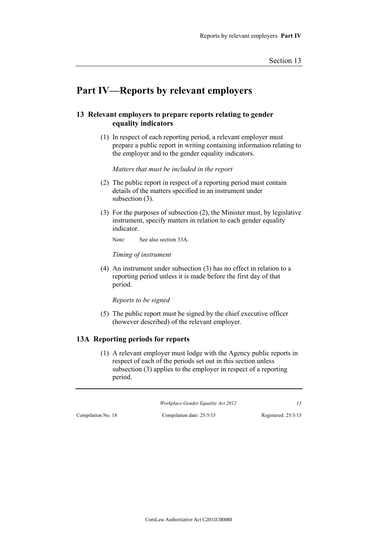# **Part IV—Reports by relevant employers**

# **13 Relevant employers to prepare reports relating to gender equality indicators**

(1) In respect of each reporting period, a relevant employer must prepare a public report in writing containing information relating to the employer and to the gender equality indicators.

*Matters that must be included in the report*

- (2) The public report in respect of a reporting period must contain details of the matters specified in an instrument under subsection  $(3)$ .
- (3) For the purposes of subsection (2), the Minister must, by legislative instrument, specify matters in relation to each gender equality indicator.

Note: See also section 33A.

*Timing of instrument*

(4) An instrument under subsection (3) has no effect in relation to a reporting period unless it is made before the first day of that period.

*Reports to be signed*

(5) The public report must be signed by the chief executive officer (however described) of the relevant employer.

### **13A Reporting periods for reports**

(1) A relevant employer must lodge with the Agency public reports in respect of each of the periods set out in this section unless subsection (3) applies to the employer in respect of a reporting period.

*Workplace Gender Equality Act 2012 13*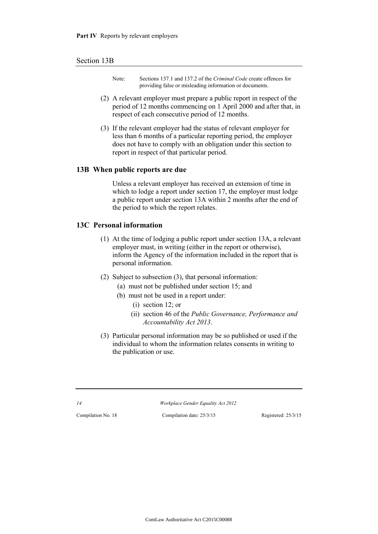#### Section 13B

- Note: Sections 137.1 and 137.2 of the *Criminal Code* create offences for providing false or misleading information or documents.
- (2) A relevant employer must prepare a public report in respect of the period of 12 months commencing on 1 April 2000 and after that, in respect of each consecutive period of 12 months.
- (3) If the relevant employer had the status of relevant employer for less than 6 months of a particular reporting period, the employer does not have to comply with an obligation under this section to report in respect of that particular period.

#### **13B When public reports are due**

Unless a relevant employer has received an extension of time in which to lodge a report under section 17, the employer must lodge a public report under section 13A within 2 months after the end of the period to which the report relates.

# **13C Personal information**

- (1) At the time of lodging a public report under section 13A, a relevant employer must, in writing (either in the report or otherwise), inform the Agency of the information included in the report that is personal information.
- (2) Subject to subsection (3), that personal information:
	- (a) must not be published under section 15; and
	- (b) must not be used in a report under:
		- (i) section 12; or
		- (ii) section 46 of the *Public Governance, Performance and Accountability Act 2013*.
- (3) Particular personal information may be so published or used if the individual to whom the information relates consents in writing to the publication or use.

*14 Workplace Gender Equality Act 2012*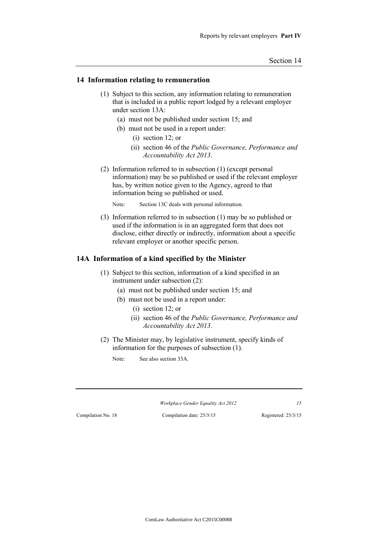#### **14 Information relating to remuneration**

- (1) Subject to this section, any information relating to remuneration that is included in a public report lodged by a relevant employer under section 13A:
	- (a) must not be published under section 15; and
	- (b) must not be used in a report under:
		- (i) section 12; or
		- (ii) section 46 of the *Public Governance, Performance and Accountability Act 2013*.
- (2) Information referred to in subsection (1) (except personal information) may be so published or used if the relevant employer has, by written notice given to the Agency, agreed to that information being so published or used.

Note: Section 13C deals with personal information.

(3) Information referred to in subsection (1) may be so published or used if the information is in an aggregated form that does not disclose, either directly or indirectly, information about a specific relevant employer or another specific person.

### **14A Information of a kind specified by the Minister**

- (1) Subject to this section, information of a kind specified in an instrument under subsection (2):
	- (a) must not be published under section 15; and
	- (b) must not be used in a report under:
		- (i) section 12; or
		- (ii) section 46 of the *Public Governance, Performance and Accountability Act 2013*.
- (2) The Minister may, by legislative instrument, specify kinds of information for the purposes of subsection (1).
	- Note: See also section 33A.

*Workplace Gender Equality Act 2012 15*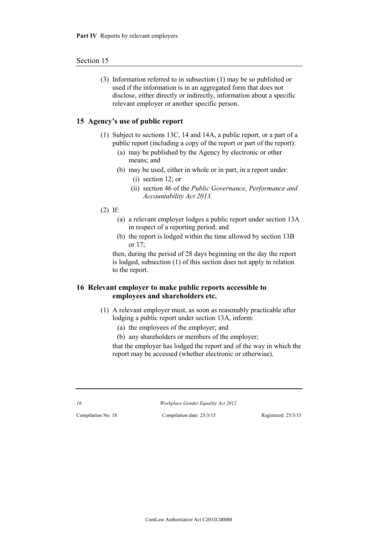#### Section 15

(3) Information referred to in subsection (1) may be so published or used if the information is in an aggregated form that does not disclose, either directly or indirectly, information about a specific relevant employer or another specific person.

### **15 Agency's use of public report**

- (1) Subject to sections 13C, 14 and 14A, a public report, or a part of a public report (including a copy of the report or part of the report):
	- (a) may be published by the Agency by electronic or other means; and
	- (b) may be used, either in whole or in part, in a report under:
		- (i) section 12; or
		- (ii) section 46 of the *Public Governance, Performance and Accountability Act 2013*.
- (2) If:
	- (a) a relevant employer lodges a public report under section 13A in respect of a reporting period; and
	- (b) the report is lodged within the time allowed by section 13B or 17;

then, during the period of 28 days beginning on the day the report is lodged, subsection (1) of this section does not apply in relation to the report.

# **16 Relevant employer to make public reports accessible to employees and shareholders etc.**

- (1) A relevant employer must, as soon as reasonably practicable after lodging a public report under section 13A, inform:
	- (a) the employees of the employer; and
	- (b) any shareholders or members of the employer;

that the employer has lodged the report and of the way in which the report may be accessed (whether electronic or otherwise).

*16 Workplace Gender Equality Act 2012*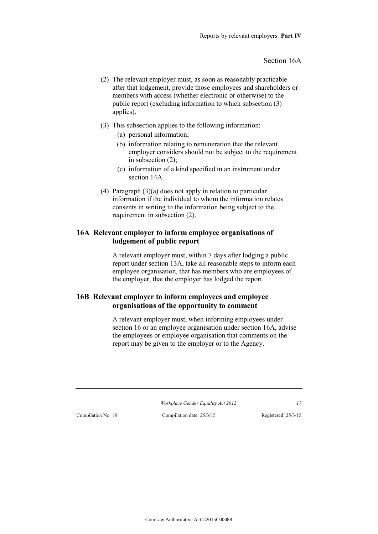- (2) The relevant employer must, as soon as reasonably practicable after that lodgement, provide those employees and shareholders or members with access (whether electronic or otherwise) to the public report (excluding information to which subsection (3) applies).
- (3) This subsection applies to the following information:
	- (a) personal information;
	- (b) information relating to remuneration that the relevant employer considers should not be subject to the requirement in subsection (2);
	- (c) information of a kind specified in an instrument under section 14A.
- (4) Paragraph (3)(a) does not apply in relation to particular information if the individual to whom the information relates consents in writing to the information being subject to the requirement in subsection (2).

# **16A Relevant employer to inform employee organisations of lodgement of public report**

A relevant employer must, within 7 days after lodging a public report under section 13A, take all reasonable steps to inform each employee organisation, that has members who are employees of the employer, that the employer has lodged the report.

# **16B Relevant employer to inform employees and employee organisations of the opportunity to comment**

A relevant employer must, when informing employees under section 16 or an employee organisation under section 16A, advise the employees or employee organisation that comments on the report may be given to the employer or to the Agency.

*Workplace Gender Equality Act 2012 17*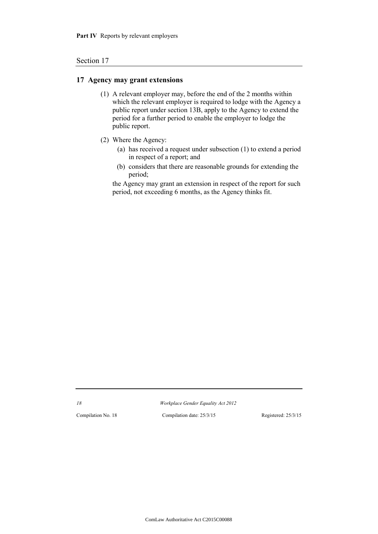#### Section 17

#### **17 Agency may grant extensions**

- (1) A relevant employer may, before the end of the 2 months within which the relevant employer is required to lodge with the Agency a public report under section 13B, apply to the Agency to extend the period for a further period to enable the employer to lodge the public report.
- (2) Where the Agency:
	- (a) has received a request under subsection (1) to extend a period in respect of a report; and
	- (b) considers that there are reasonable grounds for extending the period;

the Agency may grant an extension in respect of the report for such period, not exceeding 6 months, as the Agency thinks fit.

*18 Workplace Gender Equality Act 2012*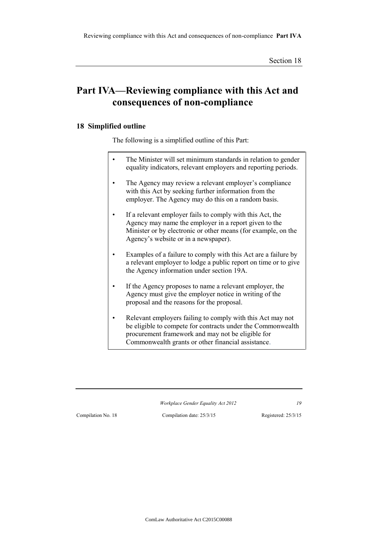# **Part IVA—Reviewing compliance with this Act and consequences of non-compliance**

# **18 Simplified outline**

The following is a simplified outline of this Part:

- The Minister will set minimum standards in relation to gender equality indicators, relevant employers and reporting periods.
- The Agency may review a relevant employer's compliance with this Act by seeking further information from the employer. The Agency may do this on a random basis.
- If a relevant employer fails to comply with this Act, the Agency may name the employer in a report given to the Minister or by electronic or other means (for example, on the Agency's website or in a newspaper).
- Examples of a failure to comply with this Act are a failure by a relevant employer to lodge a public report on time or to give the Agency information under section 19A.
- If the Agency proposes to name a relevant employer, the Agency must give the employer notice in writing of the proposal and the reasons for the proposal.
- Relevant employers failing to comply with this Act may not be eligible to compete for contracts under the Commonwealth procurement framework and may not be eligible for Commonwealth grants or other financial assistance.

*Workplace Gender Equality Act 2012 19*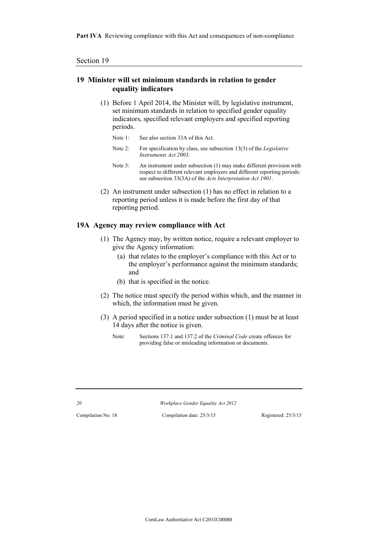Part IVA Reviewing compliance with this Act and consequences of non-compliance

## **19 Minister will set minimum standards in relation to gender equality indicators**

- (1) Before 1 April 2014, the Minister will, by legislative instrument, set minimum standards in relation to specified gender equality indicators, specified relevant employers and specified reporting periods.
	- Note 1: See also section 33A of this Act.
	- Note 2: For specification by class, see subsection 13(3) of the *Legislative Instruments Act 2003*.
	- Note 3: An instrument under subsection (1) may make different provision with respect to different relevant employers and different reporting periods: see subsection 33(3A) of the *Acts Interpretation Act 1901*.
- (2) An instrument under subsection (1) has no effect in relation to a reporting period unless it is made before the first day of that reporting period.

#### **19A Agency may review compliance with Act**

- (1) The Agency may, by written notice, require a relevant employer to give the Agency information:
	- (a) that relates to the employer's compliance with this Act or to the employer's performance against the minimum standards; and
	- (b) that is specified in the notice.
- (2) The notice must specify the period within which, and the manner in which, the information must be given.
- (3) A period specified in a notice under subsection (1) must be at least 14 days after the notice is given.
	- Note: Sections 137.1 and 137.2 of the *Criminal Code* create offences for providing false or misleading information or documents.

*20 Workplace Gender Equality Act 2012*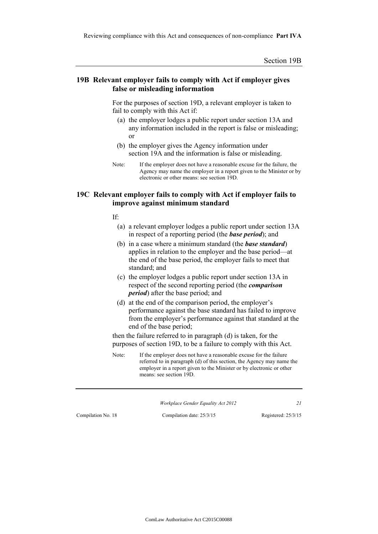#### **19B Relevant employer fails to comply with Act if employer gives false or misleading information**

For the purposes of section 19D, a relevant employer is taken to fail to comply with this Act if:

- (a) the employer lodges a public report under section 13A and any information included in the report is false or misleading; or
- (b) the employer gives the Agency information under section 19A and the information is false or misleading.
- Note: If the employer does not have a reasonable excuse for the failure, the Agency may name the employer in a report given to the Minister or by electronic or other means: see section 19D.

#### **19C Relevant employer fails to comply with Act if employer fails to improve against minimum standard**

If:

- (a) a relevant employer lodges a public report under section 13A in respect of a reporting period (the *base period*); and
- (b) in a case where a minimum standard (the *base standard*) applies in relation to the employer and the base period—at the end of the base period, the employer fails to meet that standard; and
- (c) the employer lodges a public report under section 13A in respect of the second reporting period (the *comparison period*) after the base period; and
- (d) at the end of the comparison period, the employer's performance against the base standard has failed to improve from the employer's performance against that standard at the end of the base period;

then the failure referred to in paragraph (d) is taken, for the purposes of section 19D, to be a failure to comply with this Act.

Note: If the employer does not have a reasonable excuse for the failure referred to in paragraph (d) of this section, the Agency may name the employer in a report given to the Minister or by electronic or other means: see section 19D.

*Workplace Gender Equality Act 2012 21*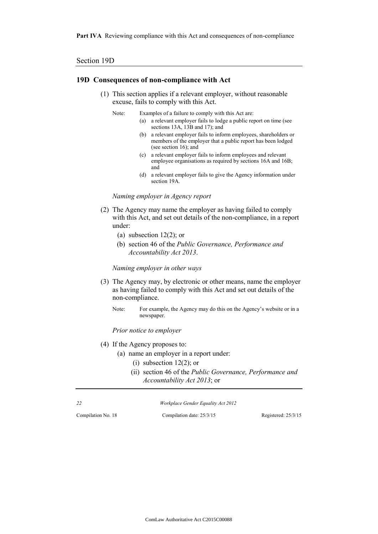Part IVA Reviewing compliance with this Act and consequences of non-compliance

#### Section 19D

#### **19D Consequences of non-compliance with Act**

- (1) This section applies if a relevant employer, without reasonable excuse, fails to comply with this Act.
	- Note: Examples of a failure to comply with this Act are:
		- (a) a relevant employer fails to lodge a public report on time (see sections 13A, 13B and 17); and
		- (b) a relevant employer fails to inform employees, shareholders or members of the employer that a public report has been lodged (see section 16); and
		- (c) a relevant employer fails to inform employees and relevant employee organisations as required by sections 16A and 16B; and
		- (d) a relevant employer fails to give the Agency information under section 19A.

*Naming employer in Agency report*

- (2) The Agency may name the employer as having failed to comply with this Act, and set out details of the non-compliance, in a report under:
	- (a) subsection  $12(2)$ ; or
	- (b) section 46 of the *Public Governance, Performance and Accountability Act 2013*.

*Naming employer in other ways*

- (3) The Agency may, by electronic or other means, name the employer as having failed to comply with this Act and set out details of the non-compliance.
	- Note: For example, the Agency may do this on the Agency's website or in a newspaper.

*Prior notice to employer*

- (4) If the Agency proposes to:
	- (a) name an employer in a report under:
		- (i) subsection  $12(2)$ ; or
		- (ii) section 46 of the *Public Governance, Performance and Accountability Act 2013*; or

| 22 | Workplace Gender Equality Act 2012 |
|----|------------------------------------|
|    |                                    |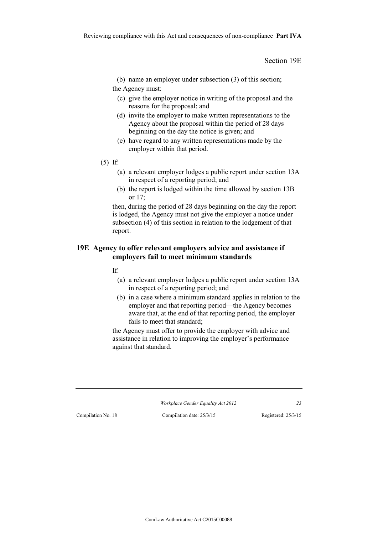(b) name an employer under subsection (3) of this section;

the Agency must:

- (c) give the employer notice in writing of the proposal and the reasons for the proposal; and
- (d) invite the employer to make written representations to the Agency about the proposal within the period of 28 days beginning on the day the notice is given; and
- (e) have regard to any written representations made by the employer within that period.
- (5) If:
	- (a) a relevant employer lodges a public report under section 13A in respect of a reporting period; and
	- (b) the report is lodged within the time allowed by section 13B or 17;

then, during the period of 28 days beginning on the day the report is lodged, the Agency must not give the employer a notice under subsection (4) of this section in relation to the lodgement of that report.

# **19E Agency to offer relevant employers advice and assistance if employers fail to meet minimum standards**

If:

- (a) a relevant employer lodges a public report under section 13A in respect of a reporting period; and
- (b) in a case where a minimum standard applies in relation to the employer and that reporting period—the Agency becomes aware that, at the end of that reporting period, the employer fails to meet that standard;

the Agency must offer to provide the employer with advice and assistance in relation to improving the employer's performance against that standard.

*Workplace Gender Equality Act 2012 23*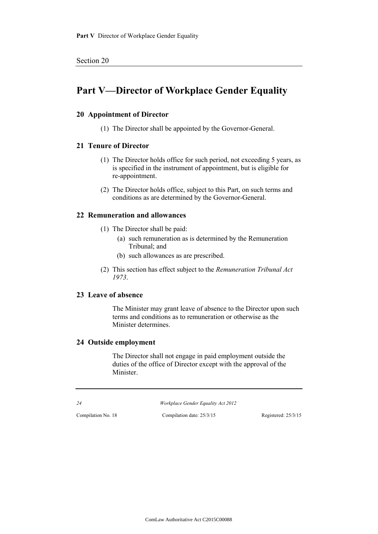# **Part V—Director of Workplace Gender Equality**

# **20 Appointment of Director**

(1) The Director shall be appointed by the Governor-General.

# **21 Tenure of Director**

- (1) The Director holds office for such period, not exceeding 5 years, as is specified in the instrument of appointment, but is eligible for re-appointment.
- (2) The Director holds office, subject to this Part, on such terms and conditions as are determined by the Governor-General.

# **22 Remuneration and allowances**

- (1) The Director shall be paid:
	- (a) such remuneration as is determined by the Remuneration Tribunal; and
	- (b) such allowances as are prescribed.
- (2) This section has effect subject to the *Remuneration Tribunal Act 1973*.

## **23 Leave of absence**

The Minister may grant leave of absence to the Director upon such terms and conditions as to remuneration or otherwise as the Minister determines.

# **24 Outside employment**

The Director shall not engage in paid employment outside the duties of the office of Director except with the approval of the Minister.

*24 Workplace Gender Equality Act 2012*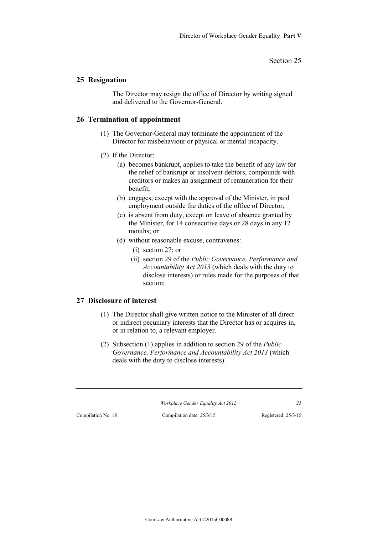# **25 Resignation**

The Director may resign the office of Director by writing signed and delivered to the Governor-General.

#### **26 Termination of appointment**

- (1) The Governor-General may terminate the appointment of the Director for misbehaviour or physical or mental incapacity.
- (2) If the Director:
	- (a) becomes bankrupt, applies to take the benefit of any law for the relief of bankrupt or insolvent debtors, compounds with creditors or makes an assignment of remuneration for their benefit;
	- (b) engages, except with the approval of the Minister, in paid employment outside the duties of the office of Director;
	- (c) is absent from duty, except on leave of absence granted by the Minister, for 14 consecutive days or 28 days in any 12 months; or
	- (d) without reasonable excuse, contravenes:
		- (i) section 27; or
		- (ii) section 29 of the *Public Governance, Performance and Accountability Act 2013* (which deals with the duty to disclose interests) or rules made for the purposes of that section;

### **27 Disclosure of interest**

- (1) The Director shall give written notice to the Minister of all direct or indirect pecuniary interests that the Director has or acquires in, or in relation to, a relevant employer.
- (2) Subsection (1) applies in addition to section 29 of the *Public Governance, Performance and Accountability Act 2013* (which deals with the duty to disclose interests).

*Workplace Gender Equality Act 2012 25*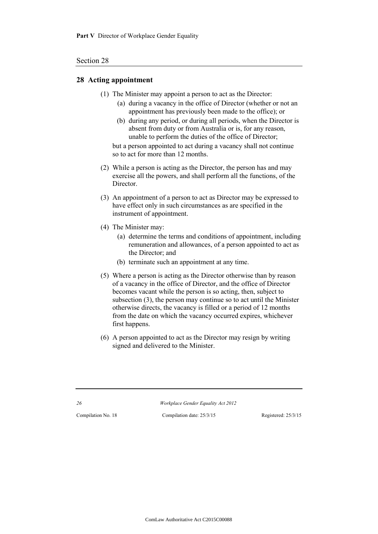#### Section 28

#### **28 Acting appointment**

- (1) The Minister may appoint a person to act as the Director:
	- (a) during a vacancy in the office of Director (whether or not an appointment has previously been made to the office); or
	- (b) during any period, or during all periods, when the Director is absent from duty or from Australia or is, for any reason, unable to perform the duties of the office of Director;

but a person appointed to act during a vacancy shall not continue so to act for more than 12 months.

- (2) While a person is acting as the Director, the person has and may exercise all the powers, and shall perform all the functions, of the **Director**
- (3) An appointment of a person to act as Director may be expressed to have effect only in such circumstances as are specified in the instrument of appointment.
- (4) The Minister may:
	- (a) determine the terms and conditions of appointment, including remuneration and allowances, of a person appointed to act as the Director; and
	- (b) terminate such an appointment at any time.
- (5) Where a person is acting as the Director otherwise than by reason of a vacancy in the office of Director, and the office of Director becomes vacant while the person is so acting, then, subject to subsection (3), the person may continue so to act until the Minister otherwise directs, the vacancy is filled or a period of 12 months from the date on which the vacancy occurred expires, whichever first happens.
- (6) A person appointed to act as the Director may resign by writing signed and delivered to the Minister.

*26 Workplace Gender Equality Act 2012*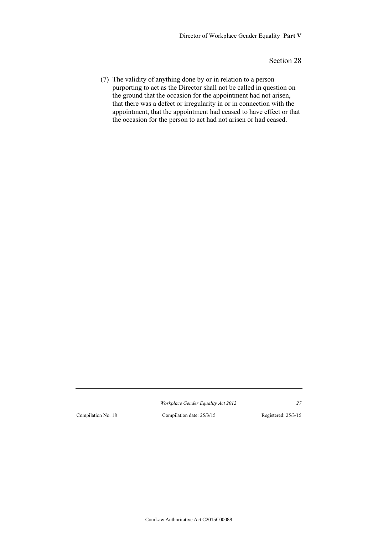(7) The validity of anything done by or in relation to a person purporting to act as the Director shall not be called in question on the ground that the occasion for the appointment had not arisen, that there was a defect or irregularity in or in connection with the appointment, that the appointment had ceased to have effect or that the occasion for the person to act had not arisen or had ceased.

*Workplace Gender Equality Act 2012 27*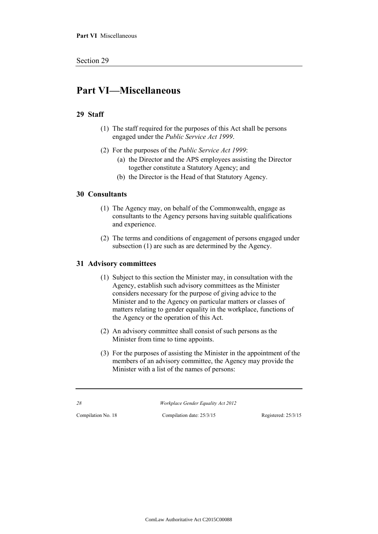# **Part VI—Miscellaneous**

# **29 Staff**

- (1) The staff required for the purposes of this Act shall be persons engaged under the *Public Service Act 1999*.
- (2) For the purposes of the *Public Service Act 1999*:
	- (a) the Director and the APS employees assisting the Director together constitute a Statutory Agency; and
	- (b) the Director is the Head of that Statutory Agency.

### **30 Consultants**

- (1) The Agency may, on behalf of the Commonwealth, engage as consultants to the Agency persons having suitable qualifications and experience.
- (2) The terms and conditions of engagement of persons engaged under subsection (1) are such as are determined by the Agency.

### **31 Advisory committees**

- (1) Subject to this section the Minister may, in consultation with the Agency, establish such advisory committees as the Minister considers necessary for the purpose of giving advice to the Minister and to the Agency on particular matters or classes of matters relating to gender equality in the workplace, functions of the Agency or the operation of this Act.
- (2) An advisory committee shall consist of such persons as the Minister from time to time appoints.
- (3) For the purposes of assisting the Minister in the appointment of the members of an advisory committee, the Agency may provide the Minister with a list of the names of persons:

*28 Workplace Gender Equality Act 2012*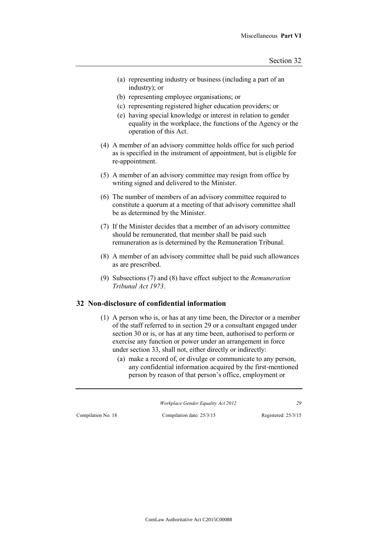- (a) representing industry or business (including a part of an industry); or
- (b) representing employee organisations; or
- (c) representing registered higher education providers; or
- (e) having special knowledge or interest in relation to gender equality in the workplace, the functions of the Agency or the operation of this Act.
- (4) A member of an advisory committee holds office for such period as is specified in the instrument of appointment, but is eligible for re-appointment.
- (5) A member of an advisory committee may resign from office by writing signed and delivered to the Minister.
- (6) The number of members of an advisory committee required to constitute a quorum at a meeting of that advisory committee shall be as determined by the Minister.
- (7) If the Minister decides that a member of an advisory committee should be remunerated, that member shall be paid such remuneration as is determined by the Remuneration Tribunal.
- (8) A member of an advisory committee shall be paid such allowances as are prescribed.
- (9) Subsections (7) and (8) have effect subject to the *Remuneration Tribunal Act 1973*.

# **32 Non-disclosure of confidential information**

- (1) A person who is, or has at any time been, the Director or a member of the staff referred to in section 29 or a consultant engaged under section 30 or is, or has at any time been, authorised to perform or exercise any function or power under an arrangement in force under section 33, shall not, either directly or indirectly:
	- (a) make a record of, or divulge or communicate to any person, any confidential information acquired by the first-mentioned person by reason of that person's office, employment or

*Workplace Gender Equality Act 2012 29*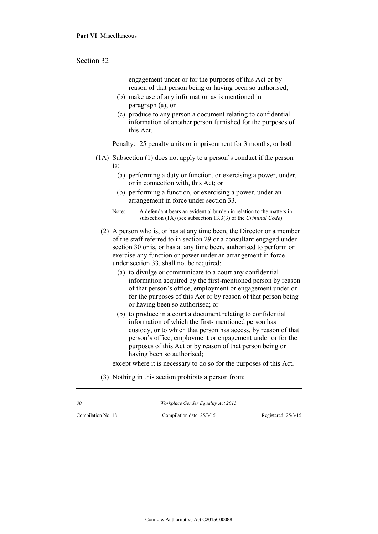engagement under or for the purposes of this Act or by reason of that person being or having been so authorised;

- (b) make use of any information as is mentioned in paragraph (a); or
- (c) produce to any person a document relating to confidential information of another person furnished for the purposes of this Act.

Penalty: 25 penalty units or imprisonment for 3 months, or both.

- (1A) Subsection (1) does not apply to a person's conduct if the person is:
	- (a) performing a duty or function, or exercising a power, under, or in connection with, this Act; or
	- (b) performing a function, or exercising a power, under an arrangement in force under section 33.
	- Note: A defendant bears an evidential burden in relation to the matters in subsection (1A) (see subsection 13.3(3) of the *Criminal Code*).
	- (2) A person who is, or has at any time been, the Director or a member of the staff referred to in section 29 or a consultant engaged under section 30 or is, or has at any time been, authorised to perform or exercise any function or power under an arrangement in force under section 33, shall not be required:
		- (a) to divulge or communicate to a court any confidential information acquired by the first-mentioned person by reason of that person's office, employment or engagement under or for the purposes of this Act or by reason of that person being or having been so authorised; or
		- (b) to produce in a court a document relating to confidential information of which the first- mentioned person has custody, or to which that person has access, by reason of that person's office, employment or engagement under or for the purposes of this Act or by reason of that person being or having been so authorised;

except where it is necessary to do so for the purposes of this Act.

(3) Nothing in this section prohibits a person from:

*30 Workplace Gender Equality Act 2012*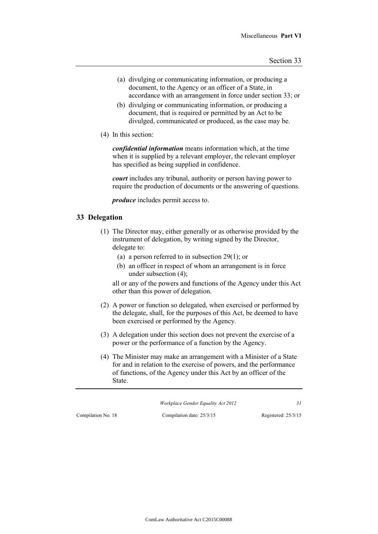- (a) divulging or communicating information, or producing a document, to the Agency or an officer of a State, in accordance with an arrangement in force under section 33; or
- (b) divulging or communicating information, or producing a document, that is required or permitted by an Act to be divulged, communicated or produced, as the case may be.
- (4) In this section:

*confidential information* means information which, at the time when it is supplied by a relevant employer, the relevant employer has specified as being supplied in confidence.

*court* includes any tribunal, authority or person having power to require the production of documents or the answering of questions.

*produce* includes permit access to.

# **33 Delegation**

- (1) The Director may, either generally or as otherwise provided by the instrument of delegation, by writing signed by the Director, delegate to:
	- (a) a person referred to in subsection 29(1); or
	- (b) an officer in respect of whom an arrangement is in force under subsection (4);

all or any of the powers and functions of the Agency under this Act other than this power of delegation.

- (2) A power or function so delegated, when exercised or performed by the delegate, shall, for the purposes of this Act, be deemed to have been exercised or performed by the Agency.
- (3) A delegation under this section does not prevent the exercise of a power or the performance of a function by the Agency.
- (4) The Minister may make an arrangement with a Minister of a State for and in relation to the exercise of powers, and the performance of functions, of the Agency under this Act by an officer of the State.

*Workplace Gender Equality Act 2012 31*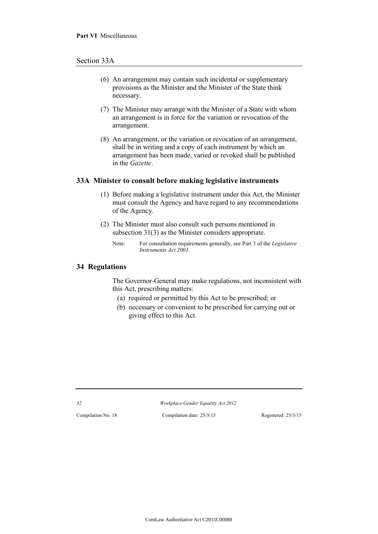#### Section 33A

- (6) An arrangement may contain such incidental or supplementary provisions as the Minister and the Minister of the State think necessary.
- (7) The Minister may arrange with the Minister of a State with whom an arrangement is in force for the variation or revocation of the arrangement.
- (8) An arrangement, or the variation or revocation of an arrangement, shall be in writing and a copy of each instrument by which an arrangement has been made, varied or revoked shall be published in the *Gazette*.

#### **33A Minister to consult before making legislative instruments**

- (1) Before making a legislative instrument under this Act, the Minister must consult the Agency and have regard to any recommendations of the Agency.
- (2) The Minister must also consult such persons mentioned in subsection 31(3) as the Minister considers appropriate.
	- Note: For consultation requirements generally, see Part 3 of the *Legislative Instruments Act 2003*.

# **34 Regulations**

The Governor-General may make regulations, not inconsistent with this Act, prescribing matters:

- (a) required or permitted by this Act to be prescribed; or
- (b) necessary or convenient to be prescribed for carrying out or giving effect to this Act.

*32 Workplace Gender Equality Act 2012*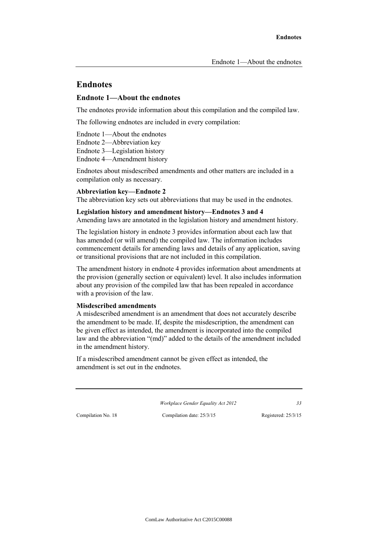# **Endnotes**

#### **Endnote 1—About the endnotes**

The endnotes provide information about this compilation and the compiled law.

The following endnotes are included in every compilation:

Endnote 1—About the endnotes

Endnote 2—Abbreviation key

Endnote 3—Legislation history

Endnote 4—Amendment history

Endnotes about misdescribed amendments and other matters are included in a compilation only as necessary.

### **Abbreviation key—Endnote 2**

The abbreviation key sets out abbreviations that may be used in the endnotes.

#### **Legislation history and amendment history—Endnotes 3 and 4**

Amending laws are annotated in the legislation history and amendment history.

The legislation history in endnote 3 provides information about each law that has amended (or will amend) the compiled law. The information includes commencement details for amending laws and details of any application, saving or transitional provisions that are not included in this compilation.

The amendment history in endnote 4 provides information about amendments at the provision (generally section or equivalent) level. It also includes information about any provision of the compiled law that has been repealed in accordance with a provision of the law.

#### **Misdescribed amendments**

A misdescribed amendment is an amendment that does not accurately describe the amendment to be made. If, despite the misdescription, the amendment can be given effect as intended, the amendment is incorporated into the compiled law and the abbreviation "(md)" added to the details of the amendment included in the amendment history.

If a misdescribed amendment cannot be given effect as intended, the amendment is set out in the endnotes.

*Workplace Gender Equality Act 2012 33*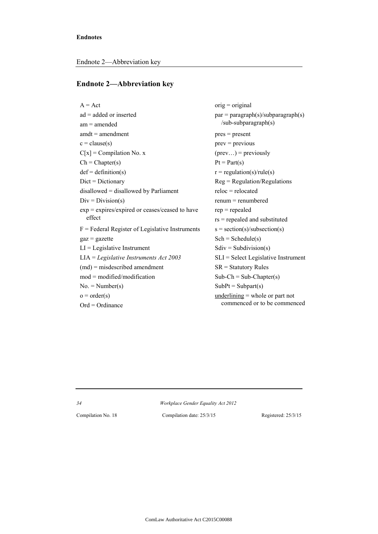#### **Endnote 2—Abbreviation key**

 $A = Act$  orig = original  $ad = added \text{ or inserted}$   $par = paragraph(s)/subparaph(s)$  $am = amended$  /sub-subparagraph(s)  $amdt = amendment$  pres = present  $c = clause(s)$  prev = previous  $C[x] = Compilation No. x$  (prev...) = previously  $Ch = Chapter(s)$   $Pt = Part(s)$  $def = definition(s)$   $r = regulation(s)/rule(s)$ Dict = Dictionary Reg = Regulation/Regulations  $disallowed = disallowed by Parliament$  reloc = relocated  $Div = Division(s)$  renum = renumbered  $exp = expires/expired$  or ceases/ceased to have  $rep = repended$ effect rs = repealed and substituted  $F =$  Federal Register of Legislative Instruments  $s =$  section(s)/subsection(s)  $gaz = gazette$  Sch = Schedule(s)  $LI = Legislative Instrument$  Sdiv = Subdivision(s) LIA = *Legislative Instruments Act 2003* SLI = Select Legislative Instrument  $(md)$  = misdescribed amendment SR = Statutory Rules  $mod = modified/modification$  Sub-Ch = Sub-Chapter(s)  $No. = Number(s)$  SubPt = Subpart(s)  $o = \text{order}(s)$  underlining = whole or part not  $Ord = Ordinance$  commenced or to be commenced

*34 Workplace Gender Equality Act 2012*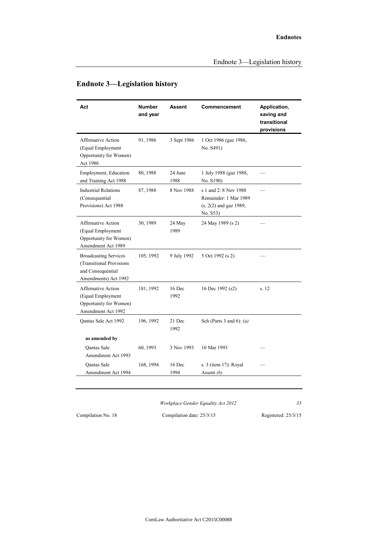| Act                                                                                                   | <b>Number</b><br>and year | <b>Assent</b>   | Commencement                                                                         | Application,<br>saving and<br>transitional<br>provisions |
|-------------------------------------------------------------------------------------------------------|---------------------------|-----------------|--------------------------------------------------------------------------------------|----------------------------------------------------------|
| <b>Affirmative Action</b><br>(Equal Employment<br>Opportunity for Women)<br>Act 1986                  | 91, 1986                  | 3 Sept 1986     | 1 Oct 1986 (gaz 1986,<br>No. S491)                                                   |                                                          |
| Employment, Education<br>and Training Act 1988                                                        | 80, 1988                  | 24 June<br>1988 | 1 July 1988 (gaz 1988,<br>No. S190)                                                  |                                                          |
| <b>Industrial Relations</b><br>(Consequential<br>Provisions) Act 1988                                 | 87, 1988                  | 8 Nov 1988      | s 1 and 2: 8 Nov 1988<br>Remainder: 1 Mar 1989<br>(s. 2(2) and gaz 1989,<br>No. S53) |                                                          |
| Affirmative Action<br>(Equal Employment<br>Opportunity for Women)<br>Amendment Act 1989               | 30, 1989                  | 24 May<br>1989  | 24 May 1989 (s 2)                                                                    |                                                          |
| <b>Broadcasting Services</b><br>(Transitional Provisions<br>and Consequential<br>Amendments) Act 1992 | 105, 1992                 | 9 July 1992     | 5 Oct 1992 (s 2)                                                                     |                                                          |
| <b>Affirmative Action</b><br>(Equal Employment<br>Opportunity for Women)<br>Amendment Act 1992        | 181, 1992                 | 16 Dec<br>1992  | 16 Dec 1992 (s2)                                                                     | s. 12                                                    |
| Oantas Sale Act 1992                                                                                  | 196, 1992                 | 21 Dec<br>1992  | Sch (Parts 3 and 6): $(a)$                                                           |                                                          |
| as amended by                                                                                         |                           |                 |                                                                                      |                                                          |
| <b>Oantas Sale</b><br>Amendment Act 1993                                                              | 60, 1993                  | 3 Nov 1993      | 10 Mar 1993                                                                          |                                                          |
| Qantas Sale<br>Amendment Act 1994                                                                     | 168, 1994                 | 16 Dec<br>1994  | s. 3 (item 17): Royal<br>Assent $(b)$                                                |                                                          |
|                                                                                                       |                           |                 |                                                                                      |                                                          |

# **Endnote 3—Legislation history**

*Workplace Gender Equality Act 2012 35*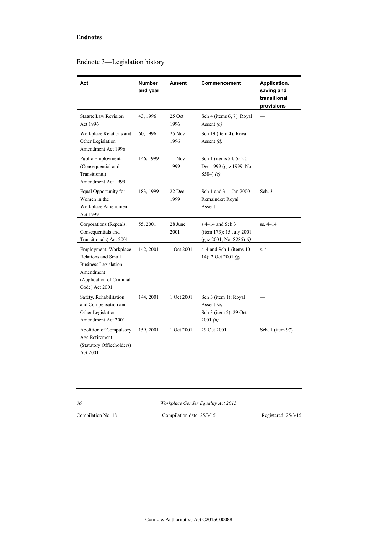#### **Endnotes**

| Act                                                                                                                                           | <b>Number</b><br>and year | Assent          | Commencement                                                                  | Application,<br>saving and<br>transitional<br>provisions |
|-----------------------------------------------------------------------------------------------------------------------------------------------|---------------------------|-----------------|-------------------------------------------------------------------------------|----------------------------------------------------------|
| <b>Statute Law Revision</b><br>Act 1996                                                                                                       | 43, 1996                  | 25 Oct<br>1996  | Sch 4 (items 6, 7): Royal<br>Assent $(c)$                                     |                                                          |
| Workplace Relations and<br>Other Legislation<br>Amendment Act 1996                                                                            | 60, 1996                  | 25 Nov<br>1996  | Sch 19 (item 4): Royal<br>Assent $(d)$                                        |                                                          |
| Public Employment<br>(Consequential and<br>Transitional)<br>Amendment Act 1999                                                                | 146, 1999                 | 11 Nov<br>1999  | Sch 1 (items 54, 55): 5<br>Dec 1999 (gaz 1999, No<br>$S584$ $(e)$             |                                                          |
| Equal Opportunity for<br>Women in the<br>Workplace Amendment<br>Act 1999                                                                      | 183, 1999                 | 22 Dec<br>1999  | Sch 1 and 3: 1 Jan 2000<br>Remainder: Royal<br>Assent                         | Sch. 3                                                   |
| Corporations (Repeals,<br>Consequentials and<br>Transitionals) Act 2001                                                                       | 55, 2001                  | 28 June<br>2001 | $s$ 4–14 and Sch 3<br>(item 173): 15 July 2001<br>(gaz 2001, No. $S285$ ) (f) | $ss. 4-14$                                               |
| Employment, Workplace<br><b>Relations and Small</b><br><b>Business Legislation</b><br>Amendment<br>(Application of Criminal<br>Code) Act 2001 | 142, 2001                 | 1 Oct 2001      | s. 4 and Sch 1 (items 10-<br>14): 2 Oct 2001 $(g)$                            | s.4                                                      |
| Safety, Rehabilitation<br>and Compensation and<br>Other Legislation<br>Amendment Act 2001                                                     | 144, 2001                 | 1 Oct 2001      | Sch 3 (item 1): Royal<br>Assent $(h)$<br>Sch 3 (item 2): 29 Oct<br>2001(h)    |                                                          |
| Abolition of Compulsory<br>Age Retirement<br>(Statutory Officeholders)<br>Act 2001                                                            | 159, 2001                 | 1 Oct 2001      | 29 Oct 2001                                                                   | Sch. 1 (item 97)                                         |

# Endnote 3—Legislation history

*36 Workplace Gender Equality Act 2012*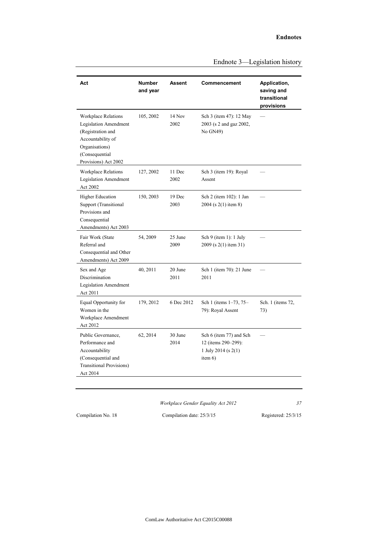| Act                                                                                                                                                              | <b>Number</b><br>and year | <b>Assent</b>   | Commencement                                                                           | Application,<br>saving and<br>transitional<br>provisions |
|------------------------------------------------------------------------------------------------------------------------------------------------------------------|---------------------------|-----------------|----------------------------------------------------------------------------------------|----------------------------------------------------------|
| <b>Workplace Relations</b><br><b>Legislation Amendment</b><br>(Registration and<br>Accountability of<br>Organisations)<br>(Consequential<br>Provisions) Act 2002 | 105, 2002                 | 14 Nov<br>2002  | Sch 3 (item 47): 12 May<br>2003 (s 2 and gaz 2002,<br>No GN49)                         |                                                          |
| <b>Workplace Relations</b><br><b>Legislation Amendment</b><br>Act 2002                                                                                           | 127, 2002                 | 11 Dec<br>2002  | Sch 3 (item 19): Royal<br>Assent                                                       |                                                          |
| <b>Higher Education</b><br>Support (Transitional<br>Provisions and<br>Consequential<br>Amendments) Act 2003                                                      | 150, 2003                 | 19 Dec<br>2003  | Sch 2 (item 102): 1 Jan<br>2004 (s 2(1) item 8)                                        |                                                          |
| Fair Work (State<br>Referral and<br>Consequential and Other<br>Amendments) Act 2009                                                                              | 54, 2009                  | 25 June<br>2009 | Sch 9 (item 1): $1$ July<br>2009 (s 2(1) item 31)                                      |                                                          |
| Sex and Age<br>Discrimination<br><b>Legislation Amendment</b><br>Act 2011                                                                                        | 40, 2011                  | 20 June<br>2011 | Sch 1 (item 70): 21 June<br>2011                                                       |                                                          |
| Equal Opportunity for<br>Women in the<br>Workplace Amendment<br>Act 2012                                                                                         | 179, 2012                 | 6 Dec 2012      | Sch 1 (items 1-73, 75-<br>79): Royal Assent                                            | Sch. 1 (items 72,<br>73)                                 |
| Public Governance.<br>Performance and<br>Accountability<br>(Consequential and<br><b>Transitional Provisions)</b><br>Act 2014                                     | 62, 2014                  | 30 June<br>2014 | Sch 6 (item 77) and Sch<br>12 (items 290-299):<br>1 July 2014 (s $2(1)$ )<br>item $6)$ |                                                          |

Endnote 3—Legislation history

*Workplace Gender Equality Act 2012 37*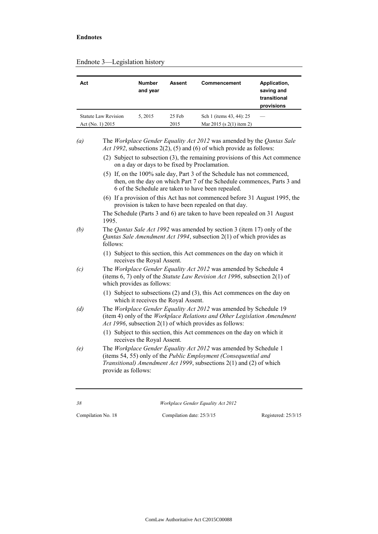| Act                  | <b>Number</b><br>and year | Assent | Commencement               | Application,<br>saving and<br>transitional<br>provisions |
|----------------------|---------------------------|--------|----------------------------|----------------------------------------------------------|
| Statute Law Revision | 5.2015                    | 25 Feb | Sch 1 (items 43, 44): 25   |                                                          |
| Act (No. 1) $2015$   |                           | 2015   | Mar 2015 (s $2(1)$ item 2) |                                                          |

#### Endnote 3—Legislation history

- (2) Subject to subsection (3), the remaining provisions of this Act commence on a day or days to be fixed by Proclamation.
- (5) If, on the 100% sale day, Part 3 of the Schedule has not commenced, then, on the day on which Part 7 of the Schedule commences, Parts 3 and 6 of the Schedule are taken to have been repealed.
- (6) If a provision of this Act has not commenced before 31 August 1995, the provision is taken to have been repealed on that day.

The Schedule (Parts 3 and 6) are taken to have been repealed on 31 August 1995.

- *(b)* The *Qantas Sale Act 1992* was amended by section 3 (item 17) only of the *Qantas Sale Amendment Act 1994*, subsection 2(1) of which provides as follows:
	- (1) Subject to this section, this Act commences on the day on which it receives the Royal Assent.
- *(c)* The *Workplace Gender Equality Act 2012* was amended by Schedule 4 (items 6, 7) only of the *Statute Law Revision Act 1996*, subsection 2(1) of which provides as follows:
	- (1) Subject to subsections (2) and (3), this Act commences on the day on which it receives the Royal Assent.
- *(d)* The *Workplace Gender Equality Act 2012* was amended by Schedule 19 (item 4) only of the *Workplace Relations and Other Legislation Amendment Act 1996*, subsection 2(1) of which provides as follows:
	- (1) Subject to this section, this Act commences on the day on which it receives the Royal Assent.
- *(e)* The *Workplace Gender Equality Act 2012* was amended by Schedule 1 (items 54, 55) only of the *Public Employment (Consequential and Transitional) Amendment Act 1999*, subsections 2(1) and (2) of which provide as follows:

*38 Workplace Gender Equality Act 2012*

*<sup>(</sup>a)* The *Workplace Gender Equality Act 2012* was amended by the *Qantas Sale Act 1992*, subsections 2(2), (5) and (6) of which provide as follows: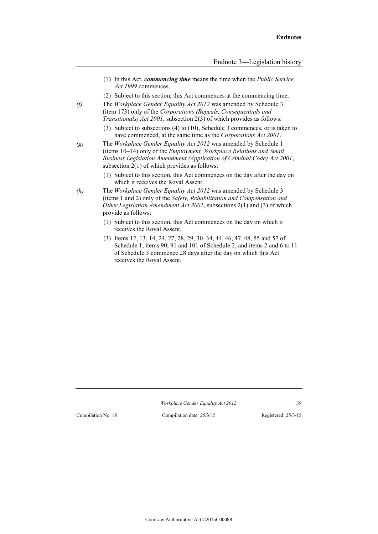- (1) In this Act, *commencing time* means the time when the *Public Service Act 1999* commences.
- (2) Subject to this section, this Act commences at the commencing time.
- *(f)* The *Workplace Gender Equality Act 2012* was amended by Schedule 3 (item 173) only of the *Corporations (Repeals, Consequentials and Transitionals) Act 2001*, subsection 2(3) of which provides as follows:
	- (3) Subject to subsections (4) to (10), Schedule 3 commences, or is taken to have commenced, at the same time as the *Corporations Act 2001*.
- *(g)* The *Workplace Gender Equality Act 2012* was amended by Schedule 1 (items 10–14) only of the *Employment, Workplace Relations and Small Business Legislation Amendment (Application of Criminal Code) Act 2001*, subsection 2(1) of which provides as follows:
	- (1) Subject to this section, this Act commences on the day after the day on which it receives the Royal Assent.
- *(h)* The *Workplace Gender Equality Act 2012* was amended by Schedule 3 (items 1 and 2) only of the *Safety, Rehabilitation and Compensation and Other Legislation Amendment Act 2001*, subsections 2(1) and (3) of which provide as follows:
	- (1) Subject to this section, this Act commences on the day on which it receives the Royal Assent.
	- (3) Items 12, 13, 14, 24, 27, 28, 29, 30, 34, 44, 46, 47, 48, 55 and 57 of Schedule 1, items 90, 91 and 101 of Schedule 2, and items 2 and 6 to 11 of Schedule 3 commence 28 days after the day on which this Act receives the Royal Assent.

*Workplace Gender Equality Act 2012 39*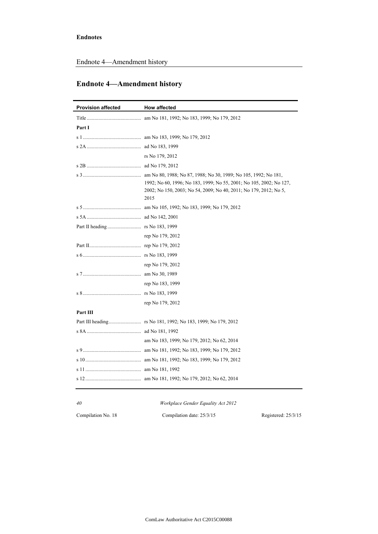Endnote 4—Amendment history

# **Endnote 4—Amendment history**

| <b>Provision affected</b> | <b>How affected</b>                                                                                                                                                                                                 |
|---------------------------|---------------------------------------------------------------------------------------------------------------------------------------------------------------------------------------------------------------------|
|                           |                                                                                                                                                                                                                     |
| Part I                    |                                                                                                                                                                                                                     |
|                           |                                                                                                                                                                                                                     |
|                           |                                                                                                                                                                                                                     |
|                           | rs No 179, 2012                                                                                                                                                                                                     |
|                           |                                                                                                                                                                                                                     |
|                           | am No 80, 1988; No 87, 1988; No 30, 1989; No 105, 1992; No 181,<br>1992; No 60, 1996; No 183, 1999; No 55, 2001; No 105, 2002; No 127,<br>2002; No 150, 2003; No 54, 2009; No 40, 2011; No 179, 2012; No 5,<br>2015 |
|                           |                                                                                                                                                                                                                     |
|                           |                                                                                                                                                                                                                     |
|                           |                                                                                                                                                                                                                     |
|                           | rep No 179, 2012                                                                                                                                                                                                    |
|                           |                                                                                                                                                                                                                     |
|                           |                                                                                                                                                                                                                     |
|                           | rep No 179, 2012                                                                                                                                                                                                    |
|                           |                                                                                                                                                                                                                     |
|                           | rep No 183, 1999                                                                                                                                                                                                    |
|                           |                                                                                                                                                                                                                     |
|                           | rep No 179, 2012                                                                                                                                                                                                    |
| Part III                  |                                                                                                                                                                                                                     |
|                           |                                                                                                                                                                                                                     |
|                           |                                                                                                                                                                                                                     |
|                           | am No 183, 1999; No 179, 2012; No 62, 2014                                                                                                                                                                          |
|                           |                                                                                                                                                                                                                     |
|                           |                                                                                                                                                                                                                     |
|                           |                                                                                                                                                                                                                     |
|                           |                                                                                                                                                                                                                     |
|                           |                                                                                                                                                                                                                     |

| 40                 | <i>Workplace Gender Equality Act 2012</i> |                       |
|--------------------|-------------------------------------------|-----------------------|
| Compilation No. 18 | Compilation date: 25/3/15                 | Registered: $25/3/15$ |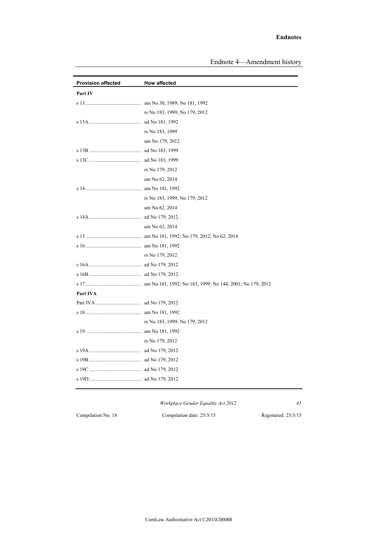#### **Endnotes**

| <b>Provision affected</b> | <b>How affected</b>           |
|---------------------------|-------------------------------|
| Part IV                   |                               |
|                           |                               |
|                           | rs No 183, 1999; No 179, 2012 |
|                           |                               |
|                           | rs No 183, 1999               |
|                           | am No 179, 2012               |
|                           |                               |
|                           |                               |
|                           | rs No 179, 2012               |
|                           | am No 62, 2014                |
|                           |                               |
|                           | rs No 183, 1999; No 179, 2012 |
|                           | am No 62, 2014                |
|                           |                               |
|                           | am No 62, 2014                |
|                           |                               |
|                           |                               |
|                           | rs No 179, 2012               |
|                           |                               |
|                           |                               |
|                           |                               |
| Part IVA                  |                               |
|                           |                               |
|                           |                               |
|                           | rs No 183, 1999; No 179, 2012 |
|                           |                               |
|                           | rs No 179, 2012               |
|                           |                               |
|                           |                               |
|                           |                               |
|                           |                               |
|                           |                               |

*Workplace Gender Equality Act 2012 41*